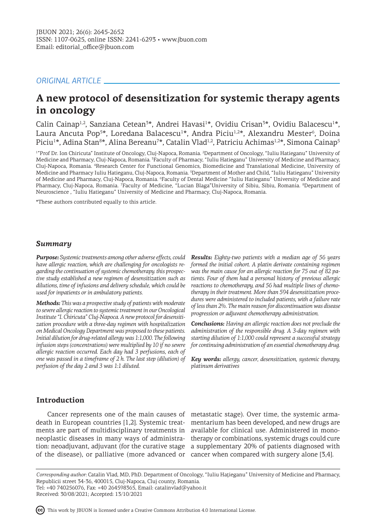# *ORIGINAL ARTICLE*

# **A new protocol of desensitization for systemic therapy agents in oncology**

Calin Cainap<sup>1,2</sup>, Sanziana Cetean<sup>3\*</sup>, Andrei Havasi<sup>1\*</sup>, Ovidiu Crisan<sup>3\*</sup>, Ovidiu Balacescu<sup>1\*</sup>, Laura Ancuta Pop<sup>5\*</sup>, Loredana Balacescu<sup>1</sup>\*, Andra Piciu<sup>1,2</sup>\*, Alexandru Mester<sup>6</sup>, Doina Piciu<sup>1</sup>\*, Adina Stan<sup>8</sup>\*, Alina Bereanu<sup>7</sup>\*, Catalin Vlad<sup>1,2</sup>, Patriciu Achimas<sup>1,2</sup>\*, Simona Cainap<sup>5</sup>

<sup>1</sup>"Prof Dr. Ion Chiricuta" Institute of Oncology, Cluj-Napoca, Romania. <sup>2</sup>Department of Oncology, "Iuliu Hatieganu" University of Medicine and Pharmacy, Cluj-Napoca, Romania. <sup>3</sup>Faculty of Pharmacy, "Iuliu Hatieganu" University of Medicine and Pharmacy, Cluj-Napoca, Romania. <sup>4</sup> Research Center for Functional Genomics, Biomedicine and Translational Medicine, University of Medicine and Pharmacy Iuliu Hatieganu, Cluj-Napoca, Romania. <sup>5</sup> Department of Mother and Child, "Iuliu Hatieganu" University of Medicine and Pharmacy, Cluj-Napoca, Romania. <sup>6</sup>Faculty of Dental Medicine "Iuliu Hatieganu" University of Medicine and Pharmacy, Cluj-Napoca, Romania. <sup>7</sup>Faculty of Medicine, "Lucian Blaga"University of Sibiu, Sibiu, Romania. <sup>8</sup>Department of Neuroscience , "Iuliu Hatieganu" University of Medicine and Pharmacy, Cluj-Napoca, Romania.

\*These authors contributed equally to this article.

## *Summary*

*Purpose: Systemic treatments among other adverse effects, could have allergic reaction, which are challenging for oncologists regarding the continuation of systemic chemotherapy. this prospective study established a new regimen of desensitization such as dilutions, time of infusions and delivery schedule, which could be used for inpatients or in ambulatory patients.* 

*Methods: This was a prospective study of patients with moderate to severe allergic reaction to systemic treatment in our Oncological Institute "I. Chiricuta" Cluj-Napoca. A new protocol for desensitization procedure with a three-day regimen with hospitalization on Medical Oncology Department was proposed to these patients. Initial dilution for drug-related allergy was 1:1,000. The following infusion steps (concentrations) were multiplied by 10 if no severe allergic reaction occurred. Each day had 3 perfusions, each of one was passed in a timeframe of 2 h. The last step (dilution) of perfusion of the day 2 and 3 was 1:1 diluted.*

*Results: Eighty-two patients with a median age of 56 years formed the initial cohort. A platin derivate containing regimen was the main cause for an allergic reaction for 75 out of 82 patients. Four of them had a personal history of previous allergic reactions to chemotherapy, and 56 had multiple lines of chemotherapy in their treatment. More than 594 desensitization procedures were administered to included patients, with a failure rate of less than 2%. The main reason for discontinuation was disease progression or adjuvant chemotherapy administration.* 

*Conclusions: Having an allergic reaction does not preclude the administration of the responsible drug. A 3-day regimen with starting dilution of 1:1,000 could represent a successful strategy for continuing administration of an essential chemotherapy drug.*

*Key words: allergy, cancer, desensitization, systemic therapy, platinum derivatives*

## **Introduction**

ments are part of multidisciplinary treatments in available for clinical use. Administered in monoof the disease), or palliative (more advanced or cancer when compared with surgery alone [3,4].

Cancer represents one of the main causes of metastatic stage). Over time, the systemic armadeath in European countries [1,2]. Systemic treat-mentarium has been developed, and new drugs are neoplastic diseases in many ways of administra-therapy or combinations, systemic drugs could cure tion: neoadjuvant, adjuvant (for the curative stage a supplementary 20% of patients diagnosed with

*Corresponding author:* Catalin Vlad, MD, PhD. Department of Oncology, "Iuliu Haţieganu" University of Medicine and Pharmacy, Republicii street 34-36, 400015, Cluj-Napoca, Cluj county, Romania. Tel: +40 740256076, Fax: +40 264598365, Email: catalinvlad@yahoo.it

Received: 30/08/2021; Accepted: 13/10/2021

This work by JBUON is licensed under a Creative Commons Attribution 4.0 International License.

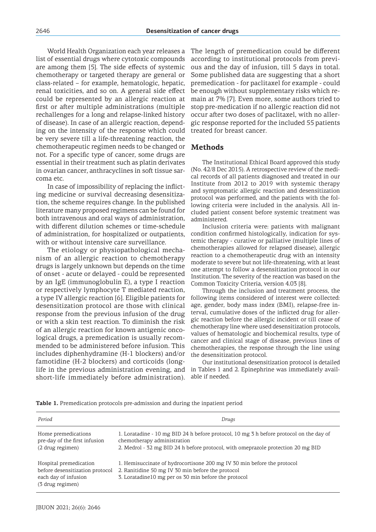World Health Organization each year releases a list of essential drugs where cytotoxic compounds are among them [5]. The side effects of systemic chemotherapy or targeted therapy are general or class-related – for example, hematologic, hepatic, renal toxicities, and so on. A general side effect could be represented by an allergic reaction at first or after multiple administrations (multiple rechallenges for a long and relapse-linked history of disease). In case of an allergic reaction, depending on the intensity of the response which could be very severe till a life-threatening reaction, the chemotherapeutic regimen needs to be changed or not. For a specific type of cancer, some drugs are essential in their treatment such as platin derivates in ovarian cancer, anthracyclines in soft tissue sarcoma etc.

In case of impossibility of replacing the inflicting medicine or survival decreasing desensitization, the scheme requires change. In the published literature many proposed regimens can be found for both intravenous and oral ways of administration, with different dilution schemes or time-schedule of administration, for hospitalized or outpatients, with or without intensive care surveillance.

The etiology or physiopathological mechanism of an allergic reaction to chemotherapy drugs is largely unknown but depends on the time of onset - acute or delayed - could be represented by an IgE (immunoglobulin E), a type I reaction or respectively lymphocyte T mediated reaction, a type IV allergic reaction [6]. Eligible patients for desensitization protocol are those with clinical response from the previous infusion of the drug or with a skin test reaction. To diminish the risk of an allergic reaction for known antigenic oncological drugs, a premedication is usually recommended to be administered before infusion. This includes diphenhydramine (H-1 blockers) and/or famotidine (H-2 blockers) and corticoids (longlife in the previous administration evening, and short-life immediately before administration).

The length of premedication could be different according to institutional protocols from previous and the day of infusion, till 5 days in total. Some published data are suggesting that a short premedication - for paclitaxel for example - could be enough without supplementary risks which remain at 7% [7]. Even more, some authors tried to stop pre-medication if no allergic reaction did not occur after two doses of paclitaxel, with no allergic response reported for the included 55 patients treated for breast cancer.

## **Methods**

The Institutional Ethical Board approved this study (No. 42/8 Dec 2015). A retrospective review of the medical records of all patients diagnosed and treated in our Institute from 2012 to 2019 with systemic therapy and symptomatic allergic reaction and desensitization protocol was performed, and the patients with the following criteria were included in the analysis. All included patient consent before systemic treatment was administered.

Inclusion criteria were: patients with malignant condition confirmed histologically, indication for systemic therapy - curative or palliative (multiple lines of chemotherapies allowed for relapsed disease), allergic reaction to a chemotherapeutic drug with an intensity moderate to severe but not life-threatening, with at least one attempt to follow a desensitization protocol in our Institution. The severity of the reaction was based on the Common Toxicity Criteria, version 4.03 [8].

Through the inclusion and treatment process, the following items considered of interest were collected: age, gender, body mass index (BMI), relapse-free interval, cumulative doses of the inflicted drug for allergic reaction before the allergic incident or till cease of chemotherapy line where used desensitization protocols, values of hematologic and biochemical results, type of cancer and clinical stage of disease, previous lines of chemotherapies, the response through the line using the desensitization protocol.

Our institutional desensitization protocol is detailed in Tables 1 and 2. Epinephrine was immediately available if needed.

|  |  |  |  | Table 1. Premedication protocols pre-admission and during the inpatient period |  |  |  |  |  |
|--|--|--|--|--------------------------------------------------------------------------------|--|--|--|--|--|
|--|--|--|--|--------------------------------------------------------------------------------|--|--|--|--|--|

| Period                                                                                                | Drugs                                                                                                                                                                                                      |
|-------------------------------------------------------------------------------------------------------|------------------------------------------------------------------------------------------------------------------------------------------------------------------------------------------------------------|
| Home premedications<br>pre-day of the first infusion<br>(2 drug regimen)                              | 1. Loratadine - 10 mg BID 24 h before protocol, 10 mg 3 h before protocol on the day of<br>chemotherapy administration<br>2. Medrol - 32 mg BID 24 h before protocol, with omeprazole protection 20 mg BID |
| Hospital premedication<br>before desensitization protocol<br>each day of infusion<br>(3 drug regimen) | 1. Hemisuccinate of hydrocortisone 200 mg IV 30 min before the protocol<br>2. Ranitidine 50 mg IV 30 min before the protocol<br>3. Loratadine10 mg per os 30 min before the protocol                       |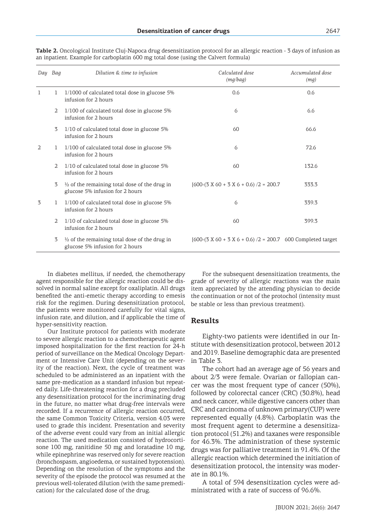| Day Bag        |   | Dilution & time to infusion                                                                 | Calculated dose<br>(mg/bag)                                   | Accumulated dose<br>(mg) |
|----------------|---|---------------------------------------------------------------------------------------------|---------------------------------------------------------------|--------------------------|
| -1             | 1 | $1/1000$ of calculated total dose in glucose 5%<br>infusion for 2 hours                     | 0.6                                                           | 0.6                      |
|                | 2 | 1/100 of calculated total dose in glucose 5%<br>infusion for 2 hours                        | 6                                                             | 6.6                      |
|                | 3 | 1/10 of calculated total dose in glucose 5%<br>infusion for 2 hours                         | 60                                                            | 66.6                     |
| $\overline{2}$ | 1 | 1/100 of calculated total dose in glucose 5%<br>infusion for 2 hours                        | 6                                                             | 72.6                     |
|                | 2 | 1/10 of calculated total dose in glucose 5%<br>infusion for 2 hours                         | 60                                                            | 132.6                    |
|                | 3 | $\frac{1}{2}$ of the remaining total dose of the drug in<br>glucose 5% infusion for 2 hours | $[600-(3 \times 60 + 3 \times 6 + 0.6) / 2 = 200.7]$          | 333.3                    |
| 3              |   | 1/100 of calculated total dose in glucose 5%<br>infusion for 2 hours                        | 6                                                             | 339.3                    |
|                | 2 | 1/10 of calculated total dose in glucose 5%<br>infusion for 2 hours                         | 60                                                            | 399.3                    |
|                | 3 | $\frac{1}{2}$ of the remaining total dose of the drug in<br>glucose 5% infusion for 2 hours | [600-(3 X 60 + 3 X 6 + 0.6) $/2 = 200.7$ 600 Completed target |                          |

**Table 2.** Oncological Institute Cluj-Napoca drug desensitization protocol for an allergic reaction - 3 days of infusion as an inpatient. Example for carboplatin 600 mg total dose (using the Calvert formula)

In diabetes mellitus, if needed, the chemotherapy agent responsible for the allergic reaction could be dissolved in normal saline except for oxaliplatin. All drugs benefited the anti-emetic therapy according to emesis risk for the regimen. During desensitization protocol, the patients were monitored carefully for vital signs, infusion rate, and dilution, and if applicable the time of hyper-sensitivity reaction.

Our Institute protocol for patients with moderate to severe allergic reaction to a chemotherapeutic agent imposed hospitalization for the first reaction for 24-h period of surveillance on the Medical Oncology Department or Intensive Care Unit (depending on the severity of the reaction). Next, the cycle of treatment was scheduled to be administered as an inpatient with the same pre-medication as a standard infusion but repeated daily. Life-threatening reaction for a drug precluded any desensitization protocol for the incriminating drug in the future, no matter what drug-free intervals were recorded. If a recurrence of allergic reaction occurred, the same Common Toxicity Criteria, version 4.03 were used to grade this incident. Presentation and severity of the adverse event could vary from an initial allergic reaction. The used medication consisted of hydrocortisone 100 mg, ranitidine 50 mg and loratadine 10 mg, while epinephrine was reserved only for severe reaction (bronchospasm, angioedema, or sustained hypotension). Depending on the resolution of the symptoms and the severity of the episode the protocol was resumed at the previous well-tolerated dilution (with the same premedication) for the calculated dose of the drug.

For the subsequent desensitization treatments, the grade of severity of allergic reactions was the main item appreciated by the attending physician to decide the continuation or not of the protochol (intensity must be stable or less than previous treatment).

## **Results**

Eighty-two patients were identified in our Institute with desensitization protocol, between 2012 and 2019. Baseline demographic data are presented in Table 3.

The cohort had an average age of 56 years and about 2/3 were female. Ovarian or fallopian cancer was the most frequent type of cancer (50%), followed by colorectal cancer (CRC) (30.8%), head and neck cancer, while digestive cancers other than CRC and carcinoma of unknown primary(CUP) were represented equally (4.8%). Carboplatin was the most frequent agent to determine a desensitization protocol (51.2%) and taxanes were responsible for 46.3%. The administration of these systemic drugs was for palliative treatment in 91.4%. Of the allergic reaction which determined the initiation of desensitization protocol, the intensity was moderate in 80.1%.

A total of 594 desensitization cycles were administrated with a rate of success of 96.6%.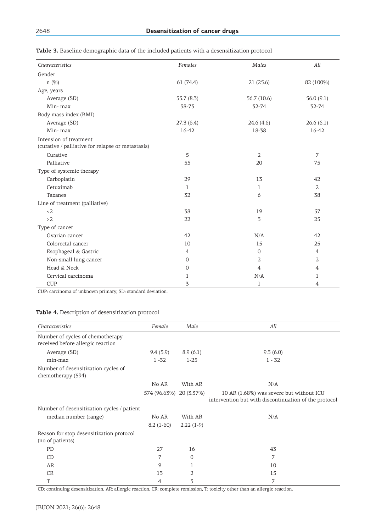| Characteristics                                                             | Females        | Males          | All            |
|-----------------------------------------------------------------------------|----------------|----------------|----------------|
| Gender                                                                      |                |                |                |
| n(%)                                                                        | 61(74.4)       | 21(25.6)       | 82 (100%)      |
| Age, years                                                                  |                |                |                |
| Average (SD)                                                                | 55.7 (8.3)     | 56.7 (10.6)    | 56.0(9.1)      |
| Min-max                                                                     | 38-73          | 32-74          | 32-74          |
| Body mass index (BMI)                                                       |                |                |                |
| Average (SD)                                                                | 27.3(6.4)      | 24.6(4.6)      | 26.6(6.1)      |
| Min-max                                                                     | 16-42          | 18-38          | 16-42          |
| Intension of treatment<br>(curative / palliative for relapse or metastasis) |                |                |                |
| Curative                                                                    | 5              | $\overline{2}$ | 7              |
| Palliative                                                                  | 55             | 20             | 75             |
| Type of systemic therapy                                                    |                |                |                |
| Carboplatin                                                                 | 29             | 13             | 42             |
| Cetuximab                                                                   | 1              | 1              | $\overline{2}$ |
| Taxanes                                                                     | 32             | 6              | 38             |
| Line of treatment (palliative)                                              |                |                |                |
| $2$                                                                         | 38             | 19             | 57             |
| >2                                                                          | 22             | 3              | 25             |
| Type of cancer                                                              |                |                |                |
| Ovarian cancer                                                              | 42             | N/A            | 42             |
| Colorectal cancer                                                           | 10             | 15             | 25             |
| Esophageal & Gastric                                                        | $\overline{4}$ | $\mathbf{0}$   | $\overline{4}$ |
| Non-small lung cancer                                                       | 0              | 2              | 2              |
| Head & Neck                                                                 | 0              | $\overline{4}$ | $\overline{4}$ |
| Cervical carcinoma                                                          | 1              | N/A            | 1              |
| <b>CUP</b>                                                                  | 3              | 1              | 4              |

**Table 3.** Baseline demographic data of the included patients with a desensitization protocol

CUP: carcinoma of unknown primary, SD: standard deviation.

## **Table 4.** Description of desensitization protocol

| Characteristics                                           | Female                  | Male        | All                                                   |
|-----------------------------------------------------------|-------------------------|-------------|-------------------------------------------------------|
|                                                           |                         |             |                                                       |
| Number of cycles of chemotherapy                          |                         |             |                                                       |
| received before allergic reaction                         |                         |             |                                                       |
| Average (SD)                                              | 9.4(5.9)                | 8.9(6.1)    | 9.3(6.0)                                              |
| min-max                                                   | $1 - 32$                | $1 - 25$    | $1 - 32$                                              |
| Number of desensitization cycles of<br>chemotherapy (594) |                         |             |                                                       |
|                                                           | No AR                   | With AR     | N/A                                                   |
|                                                           | 574 (96.63%) 20 (3.37%) |             | 10 AR (1.68%) was severe but without ICU              |
|                                                           |                         |             | intervention but with discontinuation of the protocol |
| Number of desensitization cycles / patient                |                         |             |                                                       |
| median number (range)                                     | No AR                   | With AR     | N/A                                                   |
|                                                           | $8.2(1-60)$             | $2.22(1-9)$ |                                                       |
| Reason for stop desensitization protocol                  |                         |             |                                                       |
| (no of patients)                                          |                         |             |                                                       |
| PD                                                        | 27                      | 16          | 43                                                    |
| CD                                                        | 7                       | 0           | 7                                                     |
| AR                                                        | 9                       |             | 10                                                    |
| <b>CR</b>                                                 | 13                      | 2           | 15                                                    |
| T                                                         | 4                       | 3           | 7                                                     |

CD: continuing desensitization, AR: allergic reaction, CR: complete remission, T: toxicity other than an allergic reaction.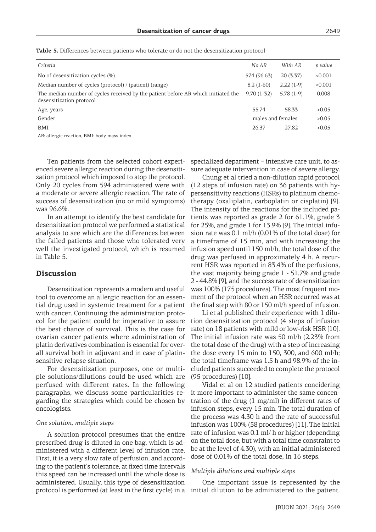| Criteria                                                                                                      | No AR             | With AR     | p value |
|---------------------------------------------------------------------------------------------------------------|-------------------|-------------|---------|
| No of desensitization cycles (%)                                                                              | 574 (96.63)       | 20(3.37)    | < 0.001 |
| Median number of cycles (protocol) / (patient) (range)                                                        | $8.2(1-60)$       | $2.22(1-9)$ | < 0.001 |
| The median number of cycles received by the patient before AR which initiated the<br>desensitization protocol | $9.70(1-32)$      | $5.78(1-9)$ | 0.008   |
| Age, years                                                                                                    | 55.74             | 58.33       | >0.05   |
| Gender                                                                                                        | males and females |             | >0.05   |
| BMI                                                                                                           | 26.37             | 27.82       | >0.05   |

**Table 5.** Differences between patients who tolerate or do not the desensitization protocol

AR: allergic reaction, BMI: body mass index

Ten patients from the selected cohort experienced severe allergic reaction during the desensitization protocol which imposed to stop the protocol. Only 20 cycles from 594 administered were with a moderate or severe allergic reaction. The rate of success of desensitization (no or mild symptoms) was 96.6%.

In an attempt to identify the best candidate for desensitization protocol we performed a statistical analysis to see which are the differences between the failed patients and those who tolerated very well the investigated protocol, which is resumed in Table 5.

## **Discussion**

Desensitization represents a modern and useful tool to overcome an allergic reaction for an essential drug used in systemic treatment for a patient with cancer. Continuing the administration protocol for the patient could be imperative to assure the best chance of survival. This is the case for ovarian cancer patients where administration of platin derivatives combination is essential for overall survival both in adjuvant and in case of platinsensitive relapse situation.

For desensitization purposes, one or multiple solutions/dilutions could be used which are perfused with different rates. In the following paragraphs, we discuss some particularities regarding the strategies which could be chosen by oncologists.

#### *One solution, multiple steps*

A solution protocol presumes that the entire prescribed drug is diluted in one bag, which is administered with a different level of infusion rate. First, it is a very slow rate of perfusion, and according to the patient's tolerance, at fixed time intervals this speed can be increased until the whole dose is administered. Usually, this type of desensitization protocol is performed (at least in the first cycle) in a specialized department – intensive care unit, to assure adequate intervention in case of severe allergy.

Chung et al tried a non-dilution rapid protocol (12 steps of infusion rate) on 36 patients with hypersensitivity reactions (HSRs) to platinum chemotherapy (oxaliplatin, carboplatin or cisplatin) [9]. The intensity of the reactions for the included patients was reported as grade 2 for 61.1%, grade 3 for 25%, and grade 1 for 13.9% [9]. The initial infusion rate was 0.1 ml/h (0.01% of the total dose) for a timeframe of 15 min, and with increasing the infusion speed until 150 ml/h, the total dose of the drug was perfused in approximately 4 h. A recurrent HSR was reported in 83.4% of the perfusions, the vast majority being grade 1 - 51.7% and grade 2 - 44.8% [9], and the success rate of desensitization was 100% (175 procedures). The most frequent moment of the protocol when an HSR occurred was at the final step with 80 or 150 ml/h speed of infusion.

Li et al published their experience with 1 dilution desensitization protocol (4 steps of infusion rate) on 18 patients with mild or low-risk HSR [10]. The initial infusion rate was 50 ml/h (2.23% from the total dose of the drug) with a step of increasing the dose every 15 min to 150, 300, and 600 ml/h; the total timeframe was 1.5 h and 98.9% of the included patients succeeded to complete the protocol (95 procedures) [10].

Vidal et al on 12 studied patients concidering it more important to administer the same concentration of the drug (1 mg/ml) in different rates of infusion steps, every 15 min. The total duration of the process was 4.30 h and the rate of successful infusion was 100% (58 procedures) [11]. The initial rate of infusion was 0.1 ml/ h or higher (depending on the total dose, but with a total time constraint to be at the level of 4.30), with an initial administered dose of 0.01% of the total dose, in 16 steps.

#### *Multiple dilutions and multiple steps*

One important issue is represented by the initial dilution to be administered to the patient.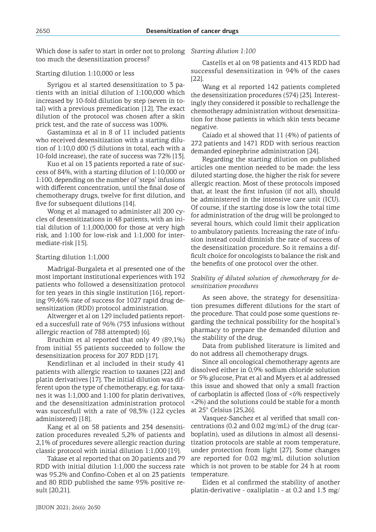Which dose is safer to start in order not to prolong *Starting dilution 1:100* too much the desensitization process?

## Starting dilution 1:10,000 or less

Syrigou et al started desensitization to 3 patients with an initial dilution of 1:100,000 which increased by 10-fold dilution by step (seven in total) with a previous premedication [12]. The exact dilution of the protocol was chosen after a skin prick test, and the rate of success was 100%.

Gastaminza et al in 8 of 11 included patients who received desensitization with a starting dilution of 1:10,0 d00 (5 dilutions in total, each with a 10-fold increase), the rate of success was 72% [13].

Kuo et al on 13 patients reported a rate of success of 84%, with a starting dilution of 1:10,000 or 1:100, depending on the number of 'steps' infusions with different concentration, until the final dose of chemotherapy drugs, twelve for first dilution, and five for subsequent dilutions [14].

Wong et al managed to administer all 200 cycles of desensitizations in 48 patients, with an initial dilution of 1:1,000,000 for those at very high risk, and 1:100 for low-risk and 1:1,000 for intermediate-risk [15].

## Starting dilution 1:1,000

Madrigal-Burgaleta et al presented one of the most important institutional experiences with 192 patients who followed a desensitization protocol for ten years in this single institution [16], reporting 99,46% rate of success for 1027 rapid drug desensitization (RDD) protocol administration.

Altwerger et al on 129 included patients reported a succesfull rate of 96% (753 infusions without allergic reaction of 788 attempted) [6].

Bruchim et al reported that only 49 (89,1%) from initial 55 patients succeeded to follow the desensitization process for 207 RDD [17].

Kendirlinan et al included in their study 41 patients with allergic reaction to taxanes [22] and platin derivatives [17]. The initial dilution was different upon the type of chemotherapy, e.g. for taxanes it was 1:1,000 and 1:100 for platin derivatives, and the desensitization administration protocol was succesfull with a rate of 98,3% (122 cycles administered) [18].

Kang et al on 58 patients and 234 desensitization procedures revealed 5,2% of patients and 2,1% of procedures severe allergic reaction during classic protocol with initial dilution 1:1,000 [19].

Takase et al reported that on 20 patients and 79 RDD with initial dilution 1:1,000 the success rate was 95.2% and Confino-Cohen et al on 23 patients and 80 RDD published the same 95% positive result [20,21].

Castells et al on 98 patients and 413 RDD had successful desensitization in 94% of the cases [22].

Wang et al reported 142 patients completed the desensitization procedures (574) [23]. Interestingly they considered it possible to rechallenge the chemotherapy administration without desensitization for those patients in which skin tests became negative.

Caiado et al showed that 11 (4%) of patients of 272 patients and 1471 RDD with serious reaction demanded epinephrine administration [24].

Regarding the starting dilution on published articles one mention needed to be made: the less diluted starting dose, the higher the risk for severe allergic reaction. Most of these protocols imposed that, at least the first infusion (if not all), should be administered in the intensive care unit (ICU). Of course, if the starting dose is low the total time for administration of the drug will be prolonged to several hours, which could limit their application to ambulatory patients. Increasing the rate of infusion instead could diminish the rate of success of the desensitization procedure. So it remains a difficult choice for oncologists to balance the risk and the benefits of one protocol over the other.

## *Stability of diluted solution of chemotherapy for desensitization procedures*

As seen above, the strategy for desensitization presumes different dilutions for the start of the procedure. That could pose some questions regarding the technical possibility for the hospital's pharmacy to prepare the demanded dilution and the stability of the drug.

Data from published literature is limited and do not address all chemotherapy drugs.

Since all oncological chemotherapy agents are dissolved either in 0,9% sodium chloride solution or 5% glucose, Prat et al and Myers et al addressed this issue and showed that only a small fraction of carboplatin is affected (loss of  $<6\%$  respectively <2%) and the solutions could be stable for a month at 25° Celsius [25,26].

Vasquez-Sanchez et al verified that small concentrations (0.2 and 0.02 mg/mL) of the drug (carboplatin), used as dilutions in almost all desensitization protocols are stable at room temperature, under protection from light [27]. Some changes are reported for 0.02 mg/mL dilution solution which is not proven to be stable for 24 h at room temperature.

Eiden et al confirmed the stability of another platin-derivative - oxaliplatin - at 0.2 and 1.3 mg/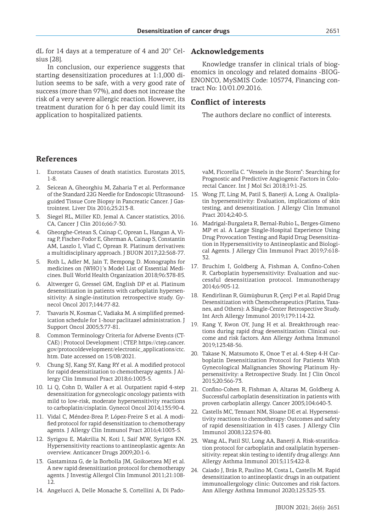dL for 14 days at a temperature of 4 and 20° Celsius [28].

In conclusion, our experience suggests that starting desensitization procedures at 1:1,000 dilution seems to be safe, with a very good rate of success (more than 97%), and does not increase the risk of a very severe allergic reaction. However, its treatment duration for 6 h per day could limit its application to hospitalized patients.

## **Acknowledgements**

Knowledge transfer in clinical trials of biogenomics in oncology and related domains -BIOG-ENONCO, MySMIS Code: 105774, Financing contract No: 10/01.09.2016.

## **Conflict of interests**

The authors declare no conflict of interests.

## **References**

- 1. Eurostats Causes of death statistics. Eurostats 2015, 1-8.
- 2. Seicean A, Gheorghiu M, Zaharia T et al. Performance of the Standard 22G Needle for Endoscopic Ultrasoundguided Tissue Core Biopsy in Pancreatic Cancer. J Gastrointest. Liver Dis 2016;25:213-8.
- 3. Siegel RL, Miller KD, Jemal A. Cancer statistics, 2016. CA, Cancer J Clin 2016;66:7-30.
- 4. Gheorghe-Cetean S, Cainap C, Oprean L, Hangan A, Virag P, Fischer-Fodor E, Gherman A, Cainap S, Constantin AM, Laszlo I, Vlad C, Oprean R. Platinum derivatives: a multidisciplinary approach. J BUON 2017;22:568-77.
- 5. Roth L, Adler M, Jain T, Bempong D. Monographs for medicines on {WHO}'s Model List of Essential Medicines. Bull World Health Organization 2018;96:378-85.
- 6. Altwerger G, Gressel GM, English DP et al. Platinum desensitization in patients with carboplatin hypersensitivity: A single-institution retrospective study. Gynecol Oncol 2017;144:77-82.
- 7. Tsavaris N, Kosmas C, Vadiaka M. A simplified premedication schedule for 1-hour paclitaxel administration. J Support Oncol 2005;3:77-81.
- Common Terminology Criteria for Adverse Events (CT-CAE) | Protocol Development | CTEP. https://ctep.cancer. gov/protocoldevelopment/electronic\_applications/ctc. htm. Date accessed on 15/08/2021.
- 9. Chung SJ, Kang SY, Kang RY et al. A modified protocol for rapid desensitization to chemotherapy agents. J Allergy Clin Immunol Pract 2018;6:1003-5.
- 10. Li Q, Cohn D, Waller A et al. Outpatient rapid 4-step desensitization for gynecologic oncology patients with mild to low-risk, moderate hypersensitivity reactions to carboplatin/cisplatin. Gynecol Oncol 2014;135:90-4.
- 11. Vidal C, Méndez-Brea P, López-Freire S et al. A modified protocol for rapid desensitization to chemotherapy agents. J Allergy Clin Immunol Pract 2016;4:1003-5.
- 12. Syrigou E, Makrilia N, Koti I, Saif MW, Syrigos KN. Hypersensitivity reactions to antineoplastic agents: An overview. Anticancer Drugs 2009;20:1-6.
- 13. Gastaminza G, de la Borbolla JM, Goikoetxea MJ et al. A new rapid desensitization protocol for chemotherapy agents. J Investig Allergol Clin Immunol 2011;21:108- 12.
- 14. Angelucci A, Delle Monache S, Cortellini A, Di Pado-

vaM, Ficorella C. "Vessels in the Storm": Searching for Prognostic and Predictive Angiogenic Factors in Colorectal Cancer. Int J Mol Sci 2018;19:1-25.

- 15. Wong JT, Ling M, Patil S, Banerji A, Long A. Oxaliplatin hypersensitivity: Evaluation, implications of skin testing, and desensitization. J Allergy Clin Immunol Pract 2014;2:40-5.
- 16. Madrigal-Burgaleta R, Bernal-Rubio L, Berges-Gimeno MP et al. A Large Single-Hospital Experience Using Drug Provocation Testing and Rapid Drug Desensitization in Hypersensitivity to Antineoplastic and Biological Agents. J Allergy Clin Immunol Pract 2019;7:618- 32.
- 17. Bruchim I, Goldberg A, Fishman A, Confino-Cohen R. Carboplatin hypersensitivity: Evaluation and successful desensitization protocol. Immunotherapy 2014;6:905-12.
- 18. Kendirlinan R, Gümüşburun R, Çerçi P et al. Rapid Drug Desensitization with Chemotherapeutics (Platins, Taxanes, and Others): A Single-Center Retrospective Study. Int Arch Allergy Immunol 2019;179:114-22.
- 19. Kang Y, Kwon OY, Jung H et al. Breakthrough reactions during rapid drug desensitization: Clinical outcome and risk factors. Ann Allergy Asthma Immunol 2019;123:48-56.
- 20. Takase N, Matsumoto K, Onoe T et al. 4-Step 4-H Carboplatin Desensitization Protocol for Patients With Gynecological Malignancies Showing Platinum Hypersensitivity: a Retrospective Study. Int J Clin Oncol 2015;20:566-73.
- 21. Confino-Cohen R, Fishman A, Altaras M, Goldberg A. Successful carboplatin desensitization in patients with proven carboplatin allergy. Cancer 2005;104:640-3.
- 22. Castells MC, Tennant NM, Sloane DE et al. Hypersensitivity reactions to chemotherapy: Outcomes and safety of rapid desensitization in 413 cases. J Allergy Clin Immunol 2008;122:574-80.
- 23. Wang AL, Patil SU, Long AA, Banerji A. Risk-stratification protocol for carboplatin and oxaliplatin hypersensitivity: repeat skin testing to identify drug allergy. Ann Allergy Asthma Immunol 2015;115:422-8.
- 24. Caiado J, Brás R, Paulino M, Costa L, Castells M. Rapid desensitization to antineoplastic drugs in an outpatient immunoallergology clinic: Outcomes and risk factors. Ann Allergy Asthma Immunol 2020;125:325-33.